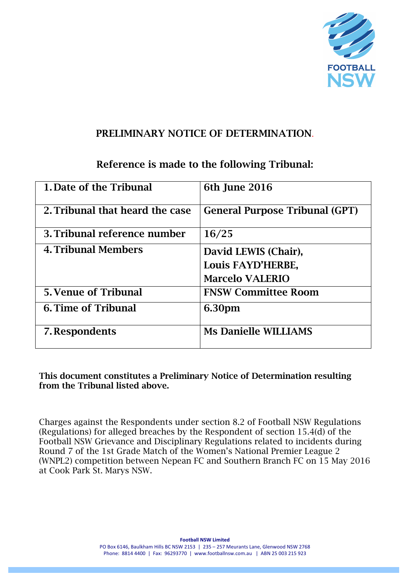

### PRELIMINARY NOTICE OF DETERMINATION.

# Reference is made to the following Tribunal:

| 1. Date of the Tribunal         | 6th June 2016                                                       |
|---------------------------------|---------------------------------------------------------------------|
| 2. Tribunal that heard the case | <b>General Purpose Tribunal (GPT)</b>                               |
| 3. Tribunal reference number    | 16/25                                                               |
| <b>4. Tribunal Members</b>      | David LEWIS (Chair),<br>Louis FAYD'HERBE,<br><b>Marcelo VALERIO</b> |
| <b>5. Venue of Tribunal</b>     | <b>FNSW Committee Room</b>                                          |
| <b>6. Time of Tribunal</b>      | 6.30pm                                                              |
| 7. Respondents                  | <b>Ms Danielle WILLIAMS</b>                                         |

This document constitutes a Preliminary Notice of Determination resulting from the Tribunal listed above.

Charges against the Respondents under section 8.2 of Football NSW Regulations (Regulations) for alleged breaches by the Respondent of section 15.4(d) of the Football NSW Grievance and Disciplinary Regulations related to incidents during Round 7 of the 1st Grade Match of the Women's National Premier League 2 (WNPL2) competition between Nepean FC and Southern Branch FC on 15 May 2016 at Cook Park St. Marys NSW.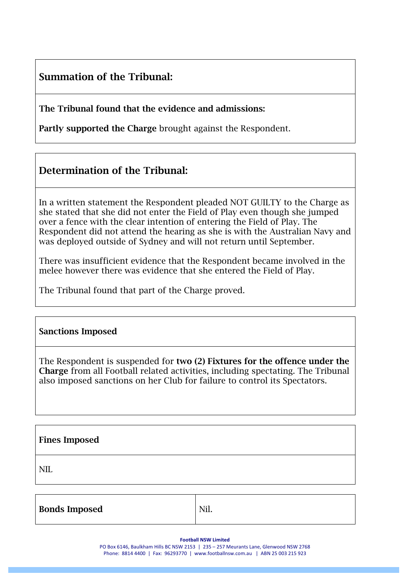# Summation of the Tribunal:

The Tribunal found that the evidence and admissions:

Partly supported the Charge brought against the Respondent.

# Determination of the Tribunal:

In a written statement the Respondent pleaded NOT GUILTY to the Charge as she stated that she did not enter the Field of Play even though she jumped over a fence with the clear intention of entering the Field of Play. The Respondent did not attend the hearing as she is with the Australian Navy and was deployed outside of Sydney and will not return until September.

There was insufficient evidence that the Respondent became involved in the melee however there was evidence that she entered the Field of Play.

The Tribunal found that part of the Charge proved.

### Sanctions Imposed

The Respondent is suspended for two (2) Fixtures for the offence under the Charge from all Football related activities, including spectating. The Tribunal also imposed sanctions on her Club for failure to control its Spectators.

| <b>Fines Imposed</b> |  |  |
|----------------------|--|--|
| <b>NII</b>           |  |  |

| <b>Bonds Imposed</b> | Nil. |
|----------------------|------|
|                      |      |

**Football NSW Limited** 

PO Box 6146, Baulkham Hills BC NSW 2153 | 235 – 257 Meurants Lane, Glenwood NSW 2768 Phone: 8814 4400 | Fax: 96293770 | www.footballnsw.com.au | ABN 25 003 215 923